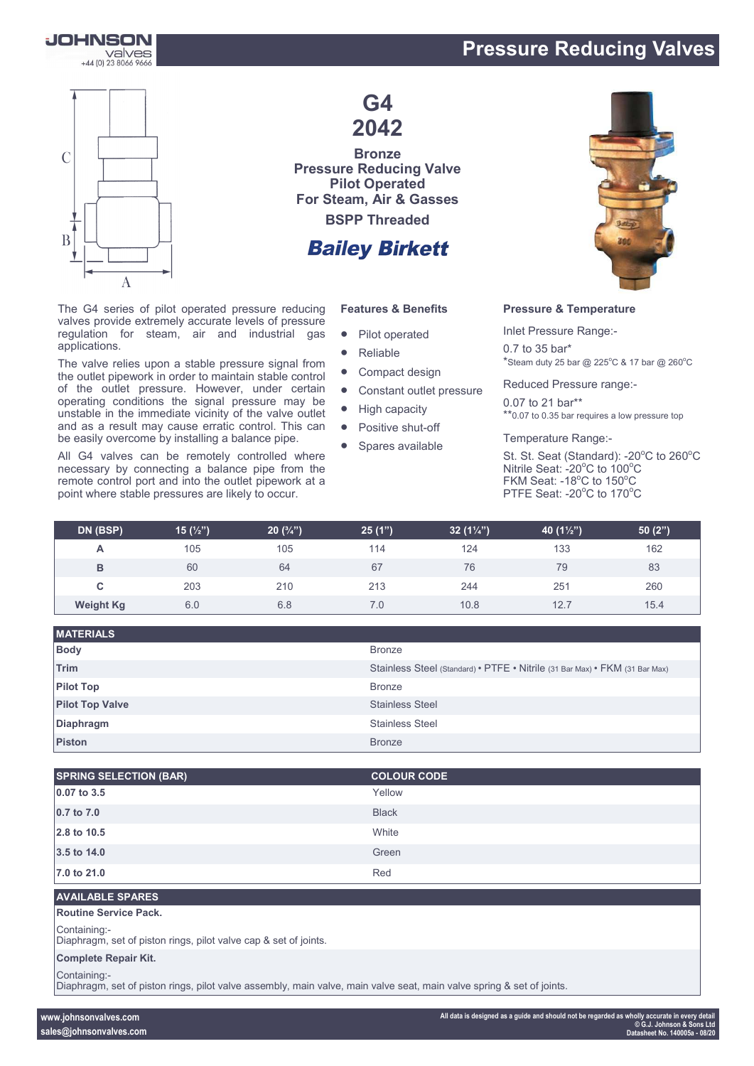## **Pressure Reducing Valves**





applications.

The G4 series of pilot operated pressure reducing valves provide extremely accurate levels of pressure regulation for steam, air and industrial gas

The valve relies upon a stable pressure signal from the outlet pipework in order to maintain stable control of the outlet pressure. However, under certain operating conditions the signal pressure may be unstable in the immediate vicinity of the valve outlet and as a result may cause erratic control. This can be easily overcome by installing a balance pipe. All G4 valves can be remotely controlled where necessary by connecting a balance pipe from the remote control port and into the outlet pipework at a point where stable pressures are likely to occur.

**G4 2042**

**Bronze Pressure Reducing Valve Pilot Operated For Steam, Air & Gasses BSPP Threaded**

## **Bailey Birkett**

#### **Features & Benefits**

- Pilot operated
- Reliable
- Compact design
- Constant outlet pressure
- High capacity
- Positive shut-off
- Spares available



#### **Pressure & Temperature**

Inlet Pressure Range:- 0.7 to 35 bar\*  $*$ Steam duty 25 bar @ 225°C & 17 bar @ 260°C

Reduced Pressure range:-

0.07 to 21 bar\*\* \*\*0.07 to 0.35 bar requires a low pressure top

Temperature Range:-

St. St. Seat (Standard): -20°C to 260°C Nitrile Seat: - 20°C to 100°C FKM Seat: -18°C to 150°C PTFE Seat: - 20°C to 170°C

| DN (BSP)         | 15 $(\frac{1}{2})$ | $20(^{3}/_{4})$ | 25(1") | 32 $(1\frac{1}{4})$ | 40 $(1\frac{1}{2})$ | 50(2") |
|------------------|--------------------|-----------------|--------|---------------------|---------------------|--------|
| A                | 105                | 105             | 114    | 124                 | 133                 | 162    |
| в                | 60                 | 64              | 67     | 76                  | 79                  | 83     |
| С                | 203                | 210             | 213    | 244                 | 251                 | 260    |
| <b>Weight Kg</b> | 6.0                | 6.8             | 7.0    | 10.8                | 12.7                | 15.4   |

| <b>MATERIALS</b>       |                                                                             |
|------------------------|-----------------------------------------------------------------------------|
| <b>Body</b>            | <b>Bronze</b>                                                               |
| Trim                   | Stainless Steel (Standard) • PTFE • Nitrile (31 Bar Max) • FKM (31 Bar Max) |
| <b>Pilot Top</b>       | <b>Bronze</b>                                                               |
| <b>Pilot Top Valve</b> | <b>Stainless Steel</b>                                                      |
| <b>Diaphragm</b>       | <b>Stainless Steel</b>                                                      |
| <b>Piston</b>          | <b>Bronze</b>                                                               |

| <b>SPRING SELECTION (BAR)</b> | <b>COLOUR CODE</b> |
|-------------------------------|--------------------|
| $0.07$ to 3.5                 | Yellow             |
| 0.7 to 7.0                    | <b>Black</b>       |
| 2.8 to 10.5                   | White              |
| 3.5 to 14.0                   | Green              |
| 7.0 to 21.0                   | Red                |

#### **AVAILABLE SPARES**

**Routine Service Pack.**

Containing:-

Diaphragm, set of piston rings, pilot valve cap & set of joints.

#### **Complete Repair Kit.**

Containing:-

Diaphragm, set of piston rings, pilot valve assembly, main valve, main valve seat, main valve spring & set of joints.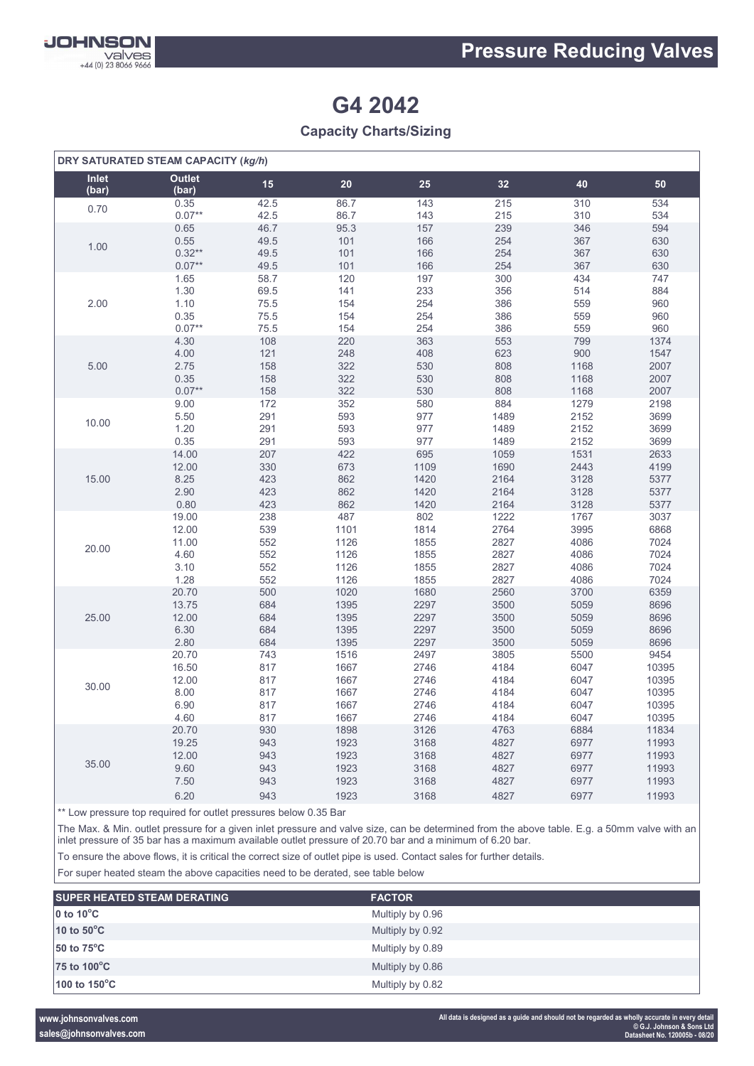

## **G4 2042**

### **Capacity Charts/Sizing**

| DRY SATURATED STEAM CAPACITY (kg/h) |                        |      |      |      |      |      |       |
|-------------------------------------|------------------------|------|------|------|------|------|-------|
| Inlet<br>(bar)                      | <b>Outlet</b><br>(bar) | 15   | 20   | 25   | 32   | 40   | 50    |
| 0.70                                | 0.35                   | 42.5 | 86.7 | 143  | 215  | 310  | 534   |
|                                     | $0.07**$               | 42.5 | 86.7 | 143  | 215  | 310  | 534   |
| 1.00                                | 0.65                   | 46.7 | 95.3 | 157  | 239  | 346  | 594   |
|                                     | 0.55                   | 49.5 | 101  | 166  | 254  | 367  | 630   |
|                                     | $0.32**$               | 49.5 | 101  | 166  | 254  | 367  | 630   |
|                                     | $0.07**$               | 49.5 | 101  | 166  | 254  | 367  | 630   |
| 2.00                                | 1.65                   | 58.7 | 120  | 197  | 300  | 434  | 747   |
|                                     | 1.30                   | 69.5 | 141  | 233  | 356  | 514  | 884   |
|                                     | 1.10                   | 75.5 | 154  | 254  | 386  | 559  | 960   |
|                                     | 0.35                   | 75.5 | 154  | 254  | 386  | 559  | 960   |
|                                     | $0.07**$               | 75.5 | 154  | 254  | 386  | 559  | 960   |
| 5.00                                | 4.30                   | 108  | 220  | 363  | 553  | 799  | 1374  |
|                                     | 4.00                   | 121  | 248  | 408  | 623  | 900  | 1547  |
|                                     | 2.75                   | 158  | 322  | 530  | 808  | 1168 | 2007  |
|                                     | 0.35                   | 158  | 322  | 530  | 808  | 1168 | 2007  |
|                                     | $0.07**$               | 158  | 322  | 530  | 808  | 1168 | 2007  |
| 10.00                               | 9.00                   | 172  | 352  | 580  | 884  | 1279 | 2198  |
|                                     | 5.50                   | 291  | 593  | 977  | 1489 | 2152 | 3699  |
|                                     | 1.20                   | 291  | 593  | 977  | 1489 | 2152 | 3699  |
|                                     | 0.35                   | 291  | 593  | 977  | 1489 | 2152 | 3699  |
| 15.00                               | 14.00                  | 207  | 422  | 695  | 1059 | 1531 | 2633  |
|                                     | 12.00                  | 330  | 673  | 1109 | 1690 | 2443 | 4199  |
|                                     | 8.25                   | 423  | 862  | 1420 | 2164 | 3128 | 5377  |
|                                     | 2.90                   | 423  | 862  | 1420 | 2164 | 3128 | 5377  |
|                                     | 0.80                   | 423  | 862  | 1420 | 2164 | 3128 | 5377  |
| 20.00                               | 19.00                  | 238  | 487  | 802  | 1222 | 1767 | 3037  |
|                                     | 12.00                  | 539  | 1101 | 1814 | 2764 | 3995 | 6868  |
|                                     | 11.00                  | 552  | 1126 | 1855 | 2827 | 4086 | 7024  |
|                                     | 4.60                   | 552  | 1126 | 1855 | 2827 | 4086 | 7024  |
|                                     | 3.10                   | 552  | 1126 | 1855 | 2827 | 4086 | 7024  |
|                                     | 1.28                   | 552  | 1126 | 1855 | 2827 | 4086 | 7024  |
| 25.00                               | 20.70                  | 500  | 1020 | 1680 | 2560 | 3700 | 6359  |
|                                     | 13.75                  | 684  | 1395 | 2297 | 3500 | 5059 | 8696  |
|                                     | 12.00                  | 684  | 1395 | 2297 | 3500 | 5059 | 8696  |
|                                     | 6.30                   | 684  | 1395 | 2297 | 3500 | 5059 | 8696  |
|                                     | 2.80                   | 684  | 1395 | 2297 | 3500 | 5059 | 8696  |
| 30.00                               | 20.70                  | 743  | 1516 | 2497 | 3805 | 5500 | 9454  |
|                                     | 16.50                  | 817  | 1667 | 2746 | 4184 | 6047 | 10395 |
|                                     | 12.00                  | 817  | 1667 | 2746 | 4184 | 6047 | 10395 |
|                                     | 8.00                   | 817  | 1667 | 2746 | 4184 | 6047 | 10395 |
|                                     | 6.90                   | 817  | 1667 | 2746 | 4184 | 6047 | 10395 |
|                                     | 4.60                   | 817  | 1667 | 2746 | 4184 | 6047 | 10395 |
| 35.00                               | 20.70                  | 930  | 1898 | 3126 | 4763 | 6884 | 11834 |
|                                     | 19.25                  | 943  | 1923 | 3168 | 4827 | 6977 | 11993 |
|                                     | 12.00                  | 943  | 1923 | 3168 | 4827 | 6977 | 11993 |
|                                     | 9.60                   | 943  | 1923 | 3168 | 4827 | 6977 | 11993 |
|                                     | 7.50                   | 943  | 1923 | 3168 | 4827 | 6977 | 11993 |
|                                     | 6.20                   | 943  | 1923 | 3168 | 4827 | 6977 | 11993 |

\*\* Low pressure top required for outlet pressures below 0.35 Bar

The Max. & Min. outlet pressure for a given inlet pressure and valve size, can be determined from the above table. E.g. a 50mm valve with an inlet pressure of 35 bar has a maximum available outlet pressure of 20.70 bar and a minimum of 6.20 bar.

To ensure the above flows, it is critical the correct size of outlet pipe is used. Contact sales for further details.

For super heated steam the above capacities need to be derated, see table below

| <b>SUPER HEATED STEAM DERATING</b> | <b>FACTOR</b>    |  |
|------------------------------------|------------------|--|
| $\overline{0}$ to 10 $\degree$ C   | Multiply by 0.96 |  |
| 10 to $50^{\circ}$ C               | Multiply by 0.92 |  |
| $50$ to $75^{\circ}$ C             | Multiply by 0.89 |  |
| 75 to 100°C                        | Multiply by 0.86 |  |
| 100 to $150^{\circ}$ C             | Multiply by 0.82 |  |